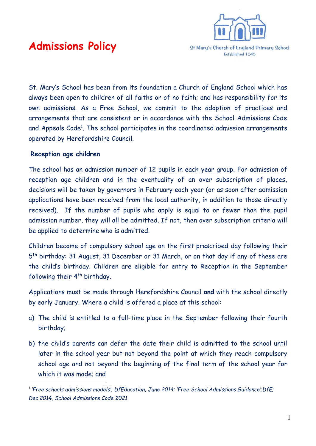

# **Admissions Policy**

St. Mary's School has been from its foundation a Church of England School which has always been open to children of all faiths or of no faith; and has responsibility for its own admissions. As a Free School, we commit to the adoption of practices and arrangements that are consistent or in accordance with the School Admissions Code and Appeals Code<sup>1</sup>. The school participates in the coordinated admission arrangements operated by Herefordshire Council.

## **Reception age children**

The school has an admission number of 12 pupils in each year group. For admission of reception age children and in the eventuality of an over subscription of places, decisions will be taken by governors in February each year (or as soon after admission applications have been received from the local authority, in addition to those directly received). If the number of pupils who apply is equal to or fewer than the pupil admission number, they will all be admitted. If not, then over subscription criteria will be applied to determine who is admitted.

Children become of compulsory school age on the first prescribed day following their 5<sup>th</sup> birthday: 31 August, 31 December or 31 March, or on that day if any of these are the child's birthday. Children are eligible for entry to Reception in the September following their 4<sup>th</sup> birthday.

Applications must be made through Herefordshire Council **and** with the school directly by early January. Where a child is offered a place at this school:

- a) The child is entitled to a full-time place in the September following their fourth birthday;
- b) the child's parents can defer the date their child is admitted to the school until later in the school year but not beyond the point at which they reach compulsory school age and not beyond the beginning of the final term of the school year for which it was made; and

<sup>1</sup> *'Free schools admissions models'; DfEducation, June 2014; 'Free School Admissions Guidance';DfE; Dec.2014, School Admissions Code 2021*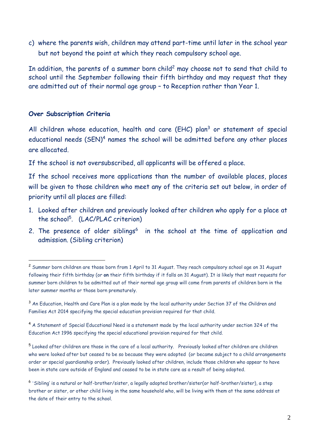c) where the parents wish, children may attend part-time until later in the school year but not beyond the point at which they reach compulsory school age.

In addition, the parents of a summer born child<sup>2</sup> may choose not to send that child to school until the September following their fifth birthday and may request that they are admitted out of their normal age group – to Reception rather than Year 1.

## **Over Subscription Criteria**

All children whose education, health and care (EHC) plan<sup>3</sup> or statement of special educational needs (SEN)<sup>4</sup> names the school will be admitted before any other places are allocated.

If the school is not oversubscribed, all applicants will be offered a place.

If the school receives more applications than the number of available places, places will be given to those children who meet any of the criteria set out below, in order of priority until all places are filled:

- 1. Looked after children and previously looked after children who apply for a place at the school<sup>5</sup> . (LAC/PLAC criterion)
- 2. The presence of older siblings<sup>6</sup> in the school at the time of application and admission. (Sibling criterion)

<sup>2</sup> Summer born children are those born from 1 April to 31 August. They reach compulsory school age on 31 August following their fifth birthday (or **on** their fifth birthday if it falls on 31 August). It is likely that most requests for summer born children to be admitted out of their normal age group will come from parents of children born in the later summer months or those born prematurely.

<sup>&</sup>lt;sup>3</sup> An Education, Health and Care Plan is a plan made by the local authority under Section 37 of the Children and Families Act 2014 specifying the special education provision required for that child.

<sup>4</sup> A Statement of Special Educational Need is a statement made by the local authority under section 324 of the Education Act 1996 specifying the special educational provision required for that child.

<sup>&</sup>lt;sup>5</sup> Looked after children are those in the care of a local authority. Previously looked after children are children who were looked after but ceased to be so because they were adopted (or became subject to a child arrangements order or special guardianship order). Previously looked after children, include those children who appear to have been in state care outside of England and ceased to be in state care as a result of being adopted.

<sup>6</sup> 'Sibling' is a natural or half-brother/sister, a legally adopted brother/sister(or half-brother/sister), a step brother or sister, or other child living in the same household who, will be living with them at the same address at the date of their entry to the school.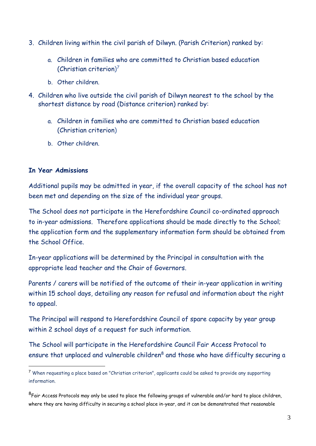- 3. Children living within the civil parish of Dilwyn. (Parish Criterion) ranked by:
	- a. Children in families who are committed to Christian based education (Christian criterion) 7
	- b. Other children.
- 4. Children who live outside the civil parish of Dilwyn nearest to the school by the shortest distance by road (Distance criterion) ranked by:
	- a. Children in families who are committed to Christian based education (Christian criterion)
	- b. Other children.

# **In Year Admissions**

Additional pupils may be admitted in year, if the overall capacity of the school has not been met and depending on the size of the individual year groups.

The School does not participate in the Herefordshire Council co-ordinated approach to in-year admissions. Therefore applications should be made directly to the School; the application form and the supplementary information form should be obtained from the School Office.

In-year applications will be determined by the Principal in consultation with the appropriate lead teacher and the Chair of Governors.

Parents / carers will be notified of the outcome of their in-year application in writing within 15 school days, detailing any reason for refusal and information about the right to appeal.

The Principal will respond to Herefordshire Council of spare capacity by year group within 2 school days of a request for such information.

The School will participate in the Herefordshire Council Fair Access Protocol to ensure that unplaced and vulnerable children<sup>8</sup> and those who have difficulty securing a

<sup>7</sup> When requesting a place based on "Christian criterion", applicants could be asked to provide any supporting information.

 $^8$ Fair Access Protocols may only be used to place the following groups of vulnerable and/or hard to place children, where they are having difficulty in securing a school place in-year, and it can be demonstrated that reasonable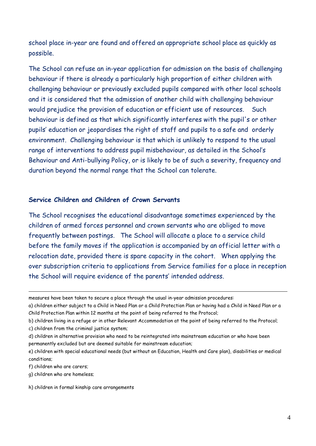school place in-year are found and offered an appropriate school place as quickly as possible.

The School can refuse an in-year application for admission on the basis of challenging behaviour if there is already a particularly high proportion of either children with challenging behaviour or previously excluded pupils compared with other local schools and it is considered that the admission of another child with challenging behaviour would prejudice the provision of education or efficient use of resources. Such behaviour is defined as that which significantly interferes with the pupil's or other pupils' education or jeopardises the right of staff and pupils to a safe and orderly environment. Challenging behaviour is that which is unlikely to respond to the usual range of interventions to address pupil misbehaviour, as detailed in the School's Behaviour and Anti-bullying Policy, or is likely to be of such a severity, frequency and duration beyond the normal range that the School can tolerate.

#### **Service Children and Children of Crown Servants**

The School recognises the educational disadvantage sometimes experienced by the children of armed forces personnel and crown servants who are obliged to move frequently between postings. The School will allocate a place to a service child before the family moves if the application is accompanied by an official letter with a relocation date, provided there is spare capacity in the cohort. When applying the over subscription criteria to applications from Service families for a place in reception the School will require evidence of the parents' intended address.

f) children who are carers;

measures have been taken to secure a place through the usual in-year admission procedures:

a) children either subject to a Child in Need Plan or a Child Protection Plan or having had a Child in Need Plan or a Child Protection Plan within 12 months at the point of being referred to the Protocol;

b) children living in a refuge or in other Relevant Accommodation at the point of being referred to the Protocol; c) children from the criminal justice system;

d) children in alternative provision who need to be reintegrated into mainstream education or who have been permanently excluded but are deemed suitable for mainstream education;

e) children with special educational needs (but without an Education, Health and Care plan), disabilities or medical conditions;

g) children who are homeless;

h) children in formal kinship care arrangements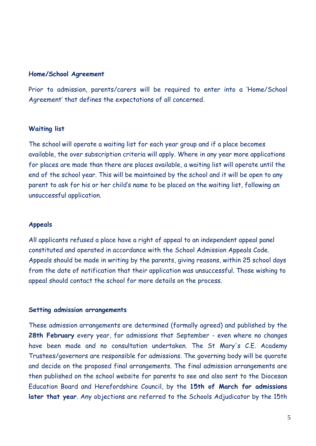#### **Home/School Agreement**

Prior to admission, parents/carers will be required to enter into a 'Home/School Agreement' that defines the expectations of all concerned.

#### **Waiting list**

The school will operate a waiting list for each year group and if a place becomes available, the over subscription criteria will apply. Where in any year more applications for places are made than there are places available, a waiting list will operate until the end of the school year. This will be maintained by the school and it will be open to any parent to ask for his or her child's name to be placed on the waiting list, following an unsuccessful application.

### **Appeals**

All applicants refused a place have a right of appeal to an independent appeal panel constituted and operated in accordance with the School Admission Appeals Code. Appeals should be made in writing by the parents, giving reasons, within 25 school days from the date of notification that their application was unsuccessful. Those wishing to appeal should contact the school for more details on the process.

#### **Setting admission arrangements**

These admission arrangements are determined (formally agreed) and published by the **28th February** every year, for admissions that September - even where no changes have been made and no consultation undertaken. The St Mary's C.E. Academy Trustees/governors are responsible for admissions. The governing body will be quorate and decide on the proposed final arrangements. The final admission arrangements are then published on the school website for parents to see and also sent to the Diocesan Education Board and Herefordshire Council, by the **15th of March for admissions later that year**. Any objections are referred to the Schools Adjudicator by the 15th